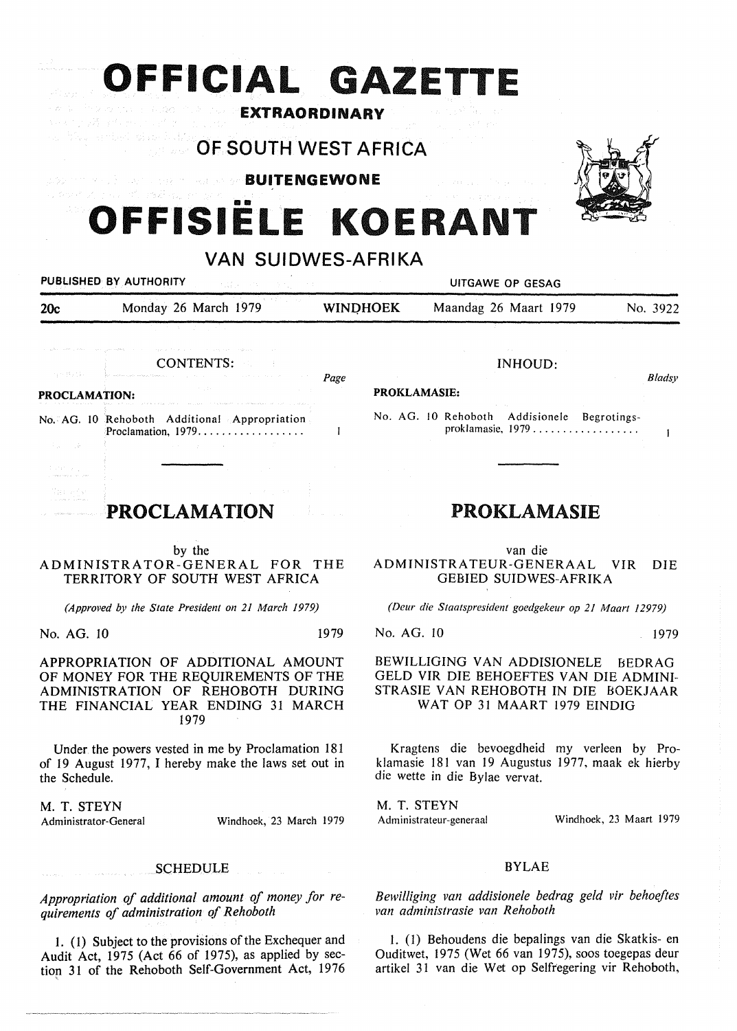# **OFFICIAL GAZETTE**  EXTRAORDINARY

ka antal dae hatta **OF SOUTH WEST AFRICA** 

**BUITENGEWONE** 

# a bour zijn al of, paška, en OFFISIËLE KOERANT

VAN SUIDWES-AFRIKA



by the ADMINISTRATOR-GENERAL FOR THE TERRITORY OF SOUTH WEST AFRICA

TOWER CONTROL

*(Approved by the State President on 21 March 1979)* 

No. AG. IO 1979

APPROPRIATION OF ADDITIONAL AMOUNT OF MONEY FOR THE REQUIREMENTS OF THE ADMINISTRATION OF REHOBOTH DURING THE FINANCIAL YEAR ENDING 31 MARCH 1979

Under the powers vested in me by Proclamation 181 of 19 August 1977, I hereby make the laws set out in the Schedule.

**M. T. STEYN** 

Administrator-General Windhoek, 23 March 1979

### **SCHEDULE**

*Appropriation of additional amount of money for requirements of administration of Rehoboth* 

1. (1) Subject to the provisions of the Exchequer and Audit Act, 1975 (Act 66 of 1975), as applied by sectiop 31 of the Rehoboth Self-Government Act, 1976

van die ADMINISTRA TEUR-GENERAAL VIR DIE GEBIED SUIDWES-AFRIKA

*(Deur die Staatspresident goedgekeur op 21 Maart 12979)* 

No. AG. IO 1979

BEWILLIGING VAN ADDISIONELE BEDRAG GELD VIR DIE BEHOEFTES VAN DIE ADMINI-STRASIE VAN REHOBOTH IN DIE BOEKJAAR WAT OP 31 MAART 1979 EINDIG

Kragtens die bevoegdheid my verleen by Proklamasie 181 van 19 Augustus 1977, maak ek hierby die wette in die Bylae vervat.

M. T. STEYN Administrateur-generaal

Windhoek, 23 Maart 1979

### BYLAE

*Bewilliging van addisionele bedrag geld vir behoeftes van administrasie van Rehoboth* 

l. (1) Behoudens die bepalings van die Skatkis- en Ouditwet, 1975 (Wet 66 van 1975), soos toegepas deur artikel 31 van die Wet op Selfregering vir Rehoboth,